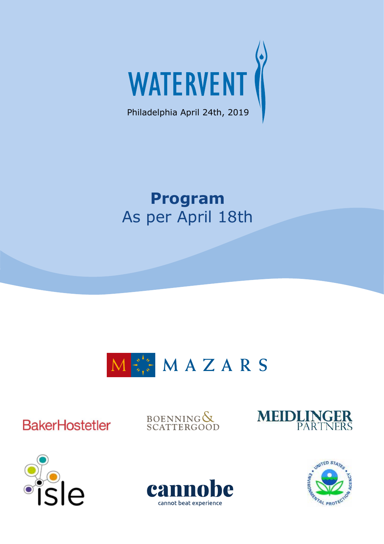

# **Program** As per April 18th



**BakerHostetler** 

BOENNING&







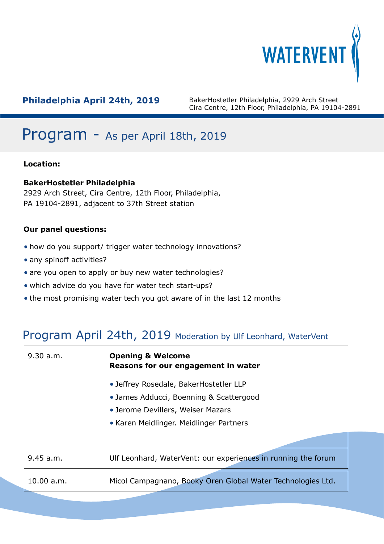

# Program - As per April 18th, 2019

## **Location:**

## **BakerHostetler Philadelphia**

2929 Arch Street, Cira Centre, 12th Floor, Philadelphia, PA 19104-2891, adjacent to 37th Street station

## **Our panel questions:**

- how do you support/ trigger water technology innovations?
- any spinoff activities?
- are you open to apply or buy new water technologies?
- which advice do you have for water tech start-ups?
- the most promising water tech you got aware of in the last 12 months

## Program April 24th, 2019 Moderation by Ulf Leonhard, WaterVent

| 9.30 a.m.  | <b>Opening &amp; Welcome</b><br>Reasons for our engagement in water |
|------------|---------------------------------------------------------------------|
|            | • Jeffrey Rosedale, BakerHostetler LLP                              |
|            | • James Adducci, Boenning & Scattergood                             |
|            | • Jerome Devillers, Weiser Mazars                                   |
|            | • Karen Meidlinger. Meidlinger Partners                             |
|            |                                                                     |
| 9.45 a.m.  | Ulf Leonhard, WaterVent: our experiences in running the forum       |
| 10.00 a.m. | Micol Campagnano, Booky Oren Global Water Technologies Ltd.         |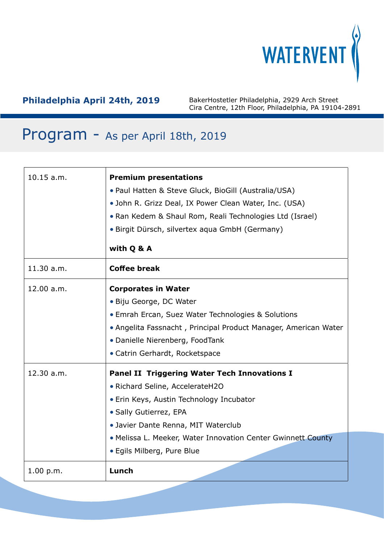

## Program - As per April 18th, 2019

| 10.15 a.m. | <b>Premium presentations</b><br>• Paul Hatten & Steve Gluck, BioGill (Australia/USA)<br>• John R. Grizz Deal, IX Power Clean Water, Inc. (USA)<br>• Ran Kedem & Shaul Rom, Reali Technologies Ltd (Israel)<br>• Birgit Dürsch, silvertex aqua GmbH (Germany)<br>with Q & A                        |
|------------|---------------------------------------------------------------------------------------------------------------------------------------------------------------------------------------------------------------------------------------------------------------------------------------------------|
| 11.30 a.m. | <b>Coffee break</b>                                                                                                                                                                                                                                                                               |
| 12.00 a.m. | <b>Corporates in Water</b><br>· Biju George, DC Water<br>• Emrah Ercan, Suez Water Technologies & Solutions<br>• Angelita Fassnacht, Principal Product Manager, American Water<br>• Danielle Nierenberg, FoodTank<br>• Catrin Gerhardt, Rocketspace                                               |
| 12.30 a.m. | <b>Panel II Triggering Water Tech Innovations I</b><br>• Richard Seline, AccelerateH2O<br>• Erin Keys, Austin Technology Incubator<br>• Sally Gutierrez, EPA<br>• Javier Dante Renna, MIT Waterclub<br>. Melissa L. Meeker, Water Innovation Center Gwinnett County<br>• Egils Milberg, Pure Blue |
| 1.00 p.m.  | Lunch                                                                                                                                                                                                                                                                                             |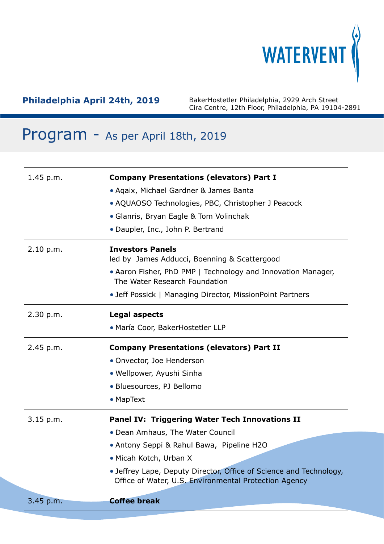

# Program - As per April 18th, 2019

| 1.45 p.m.   | <b>Company Presentations (elevators) Part I</b><br>• Agaix, Michael Gardner & James Banta<br>• AQUAOSO Technologies, PBC, Christopher J Peacock                                                                                        |
|-------------|----------------------------------------------------------------------------------------------------------------------------------------------------------------------------------------------------------------------------------------|
|             | • Glanris, Bryan Eagle & Tom Volinchak<br>• Daupler, Inc., John P. Bertrand                                                                                                                                                            |
| 2.10 p.m.   | <b>Investors Panels</b><br>led by James Adducci, Boenning & Scattergood<br>• Aaron Fisher, PhD PMP   Technology and Innovation Manager,<br>The Water Research Foundation<br>• Jeff Possick   Managing Director, MissionPoint Partners  |
| 2.30 p.m.   | <b>Legal aspects</b><br>· María Coor, BakerHostetler LLP                                                                                                                                                                               |
| 2.45 p.m.   | <b>Company Presentations (elevators) Part II</b><br>• Onvector, Joe Henderson<br>• Wellpower, Ayushi Sinha<br>• Bluesources, PJ Bellomo<br>• MapText                                                                                   |
| $3.15$ p.m. | Panel IV: Triggering Water Tech Innovations II                                                                                                                                                                                         |
|             | • Dean Amhaus, The Water Council<br>• Antony Seppi & Rahul Bawa, Pipeline H2O<br>• Micah Kotch, Urban X<br>• Jeffrey Lape, Deputy Director, Office of Science and Technology,<br>Office of Water, U.S. Environmental Protection Agency |
| 3.45 p.m.   | <b>Coffee break</b>                                                                                                                                                                                                                    |